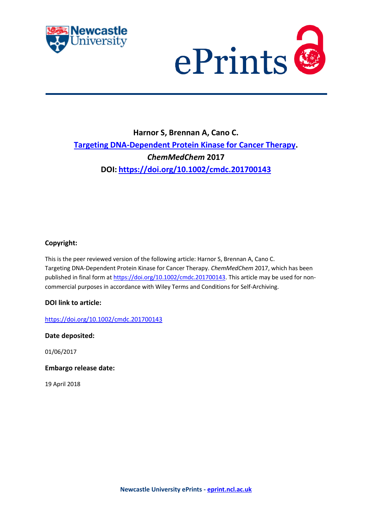



# **Harnor S, Brennan A, Cano C. [Targeting DNA-Dependent Protein Kinase for Cancer Therapy.](https://myimpact.ncl.ac.uk/ViewPublication.aspx?id=238544)**  *ChemMedChem* **2017 DOI: <https://doi.org/10.1002/cmdc.201700143>**

# **Copyright:**

This is the peer reviewed version of the following article: Harnor S, Brennan A, Cano C. [Targeting DNA-Dependent Protein Kinase for Cancer Therapy.](https://myimpact.ncl.ac.uk/ViewPublication.aspx?id=238544) *ChemMedChem* 2017, which has been published in final form a[t https://doi.org/10.1002/cmdc.201700143.](https://doi.org/10.1002/cmdc.201700143) This article may be used for noncommercial purposes in accordance with Wiley Terms and Conditions for Self-Archiving.

### **DOI link to article:**

<https://doi.org/10.1002/cmdc.201700143>

**Date deposited:** 

01/06/2017

**Embargo release date:**

19 April 2018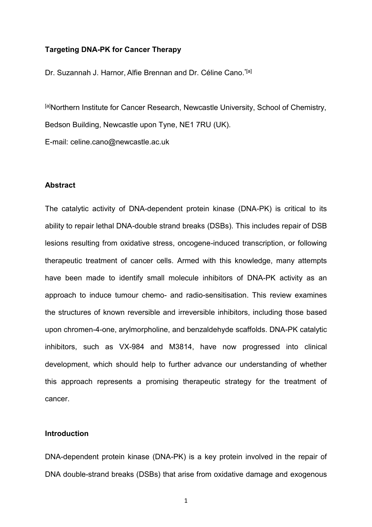### **Targeting DNA-PK for Cancer Therapy**

Dr. Suzannah J. Harnor, Alfie Brennan and Dr. Céline Cano.<sup>\*[a]</sup>

[a]Northern Institute for Cancer Research, Newcastle University, School of Chemistry, Bedson Building, Newcastle upon Tyne, NE1 7RU (UK). E-mail: celine.cano@newcastle.ac.uk

### **Abstract**

The catalytic activity of DNA-dependent protein kinase (DNA-PK) is critical to its ability to repair lethal DNA-double strand breaks (DSBs). This includes repair of DSB lesions resulting from oxidative stress, oncogene-induced transcription, or following therapeutic treatment of cancer cells. Armed with this knowledge, many attempts have been made to identify small molecule inhibitors of DNA-PK activity as an approach to induce tumour chemo- and radio-sensitisation. This review examines the structures of known reversible and irreversible inhibitors, including those based upon chromen-4-one, arylmorpholine, and benzaldehyde scaffolds. DNA-PK catalytic inhibitors, such as VX-984 and M3814, have now progressed into clinical development, which should help to further advance our understanding of whether this approach represents a promising therapeutic strategy for the treatment of cancer.

### **Introduction**

DNA-dependent protein kinase (DNA-PK) is a key protein involved in the repair of DNA double-strand breaks (DSBs) that arise from oxidative damage and exogenous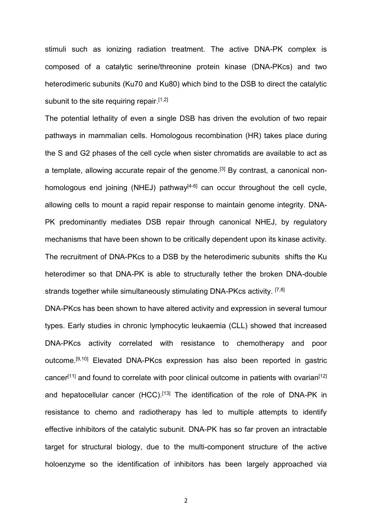stimuli such as ionizing radiation treatment. The active DNA-PK complex is composed of a catalytic serine/threonine protein kinase (DNA-PKcs) and two heterodimeric subunits (Ku70 and Ku80) which bind to the DSB to direct the catalytic subunit to the site requiring repair.<sup>[1,2]</sup>

The potential lethality of even a single DSB has driven the evolution of two repair pathways in mammalian cells. Homologous recombination (HR) takes place during the S and G2 phases of the cell cycle when sister chromatids are available to act as a template, allowing accurate repair of the genome.<sup>[3]</sup> By contrast, a canonical nonhomologous end joining (NHEJ) pathway<sup> $[4-6]$ </sup> can occur throughout the cell cycle, allowing cells to mount a rapid repair response to maintain genome integrity. DNA-PK predominantly mediates DSB repair through canonical NHEJ, by regulatory mechanisms that have been shown to be critically dependent upon its kinase activity. The recruitment of DNA-PKcs to a DSB by the heterodimeric subunits shifts the Ku heterodimer so that DNA-PK is able to structurally tether the broken DNA-double strands together while simultaneously stimulating DNA-PKcs activity. [7,8]

DNA-PKcs has been shown to have altered activity and expression in several tumour types. Early studies in chronic lymphocytic leukaemia (CLL) showed that increased DNA-PKcs activity correlated with resistance to chemotherapy and poor outcome. [9,10] Elevated DNA-PKcs expression has also been reported in gastric cancer<sup>[11]</sup> and found to correlate with poor clinical outcome in patients with ovarian<sup>[12]</sup> and hepatocellular cancer (HCC).<sup>[13]</sup> The identification of the role of DNA-PK in resistance to chemo and radiotherapy has led to multiple attempts to identify effective inhibitors of the catalytic subunit. DNA-PK has so far proven an intractable target for structural biology, due to the multi-component structure of the active holoenzyme so the identification of inhibitors has been largely approached via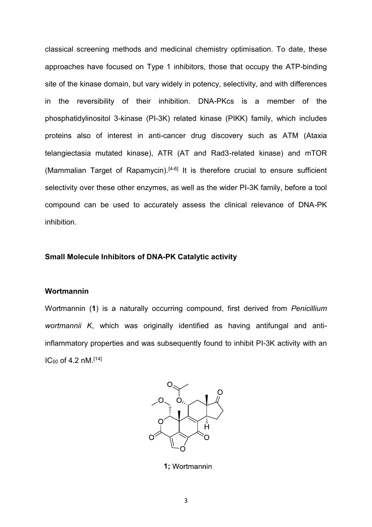classical screening methods and medicinal chemistry optimisation. To date, these approaches have focused on Type 1 inhibitors, those that occupy the ATP-binding site of the kinase domain, but vary widely in potency, selectivity, and with differences in the reversibility of their inhibition. DNA-PKcs is a member of the phosphatidylinositol 3-kinase (PI-3K) related kinase (PIKK) family, which includes proteins also of interest in anti-cancer drug discovery such as ATM (Ataxia telangiectasia mutated kinase), ATR (AT and Rad3-related kinase) and mTOR (Mammalian Target of Rapamycin). [4-6] It is therefore crucial to ensure sufficient selectivity over these other enzymes, as well as the wider PI-3K family, before a tool compound can be used to accurately assess the clinical relevance of DNA-PK inhibition.

### **Small Molecule Inhibitors of DNA-PK Catalytic activity**

### **Wortmannin**

Wortmannin (**1**) is a naturally occurring compound, first derived from *Penicillium wortmannii K*, which was originally identified as having antifungal and antiinflammatory properties and was subsequently found to inhibit PI-3K activity with an IC<sup>50</sup> of 4.2 nM.[14]



1; Wortmannin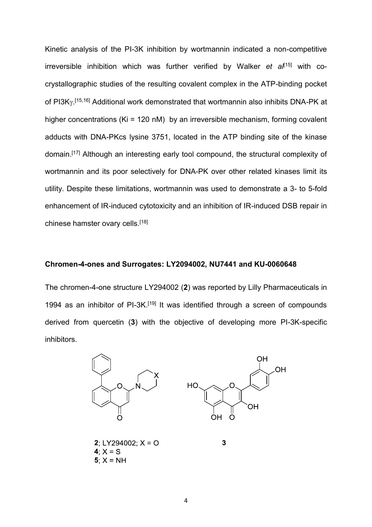Kinetic analysis of the PI-3K inhibition by wortmannin indicated a non-competitive irreversible inhibition which was further verified by Walker *et al*<sup>[15]</sup> with cocrystallographic studies of the resulting covalent complex in the ATP-binding pocket of PI3K $\gamma$ <sup>[15,16]</sup> Additional work demonstrated that wortmannin also inhibits DNA-PK at higher concentrations (Ki = 120 nM) by an irreversible mechanism, forming covalent adducts with DNA-PKcs lysine 3751, located in the ATP binding site of the kinase domain. [17] Although an interesting early tool compound, the structural complexity of wortmannin and its poor selectively for DNA-PK over other related kinases limit its utility. Despite these limitations, wortmannin was used to demonstrate a 3- to 5-fold enhancement of IR-induced cytotoxicity and an inhibition of IR-induced DSB repair in chinese hamster ovary cells.<sup>[18]</sup>

# **Chromen-4-ones and Surrogates: LY2094002, NU7441 and KU-0060648**

The chromen-4-one structure LY294002 (**2**) was reported by Lilly Pharmaceuticals in 1994 as an inhibitor of PI-3K.<sup>[19]</sup> It was identified through a screen of compounds derived from quercetin (**3**) with the objective of developing more PI-3K-specific inhibitors.

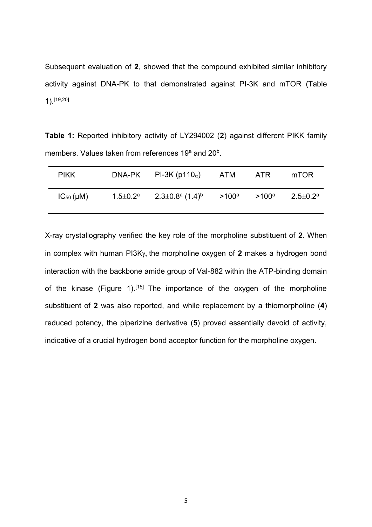Subsequent evaluation of **2**, showed that the compound exhibited similar inhibitory activity against DNA-PK to that demonstrated against PI-3K and mTOR (Table 1).[19,20]

**Table 1:** Reported inhibitory activity of LY294002 (**2**) against different PIKK family members. Values taken from references 19<sup>a</sup> and 20<sup>b</sup>.

| <b>PIKK</b>      |                          | DNA-PK PI-3K (p110 $_{\alpha}$ )                 | ATM ATR           | mTOR                       |
|------------------|--------------------------|--------------------------------------------------|-------------------|----------------------------|
| $IC_{50}(\mu M)$ | 1.5 $\pm$ 0.2 $^{\rm a}$ | $2.3{\pm}0.8^{\mathrm{a}}$ (1.4) $^{\mathrm{b}}$ | $>100^a$ $>100^a$ | $2.5 \pm 0.2$ <sup>a</sup> |

X-ray crystallography verified the key role of the morpholine substituent of **2**. When in complex with human  $P13K\gamma$ , the morpholine oxygen of 2 makes a hydrogen bond interaction with the backbone amide group of Val-882 within the ATP-binding domain of the kinase (Figure 1).<sup>[15]</sup> The importance of the oxygen of the morpholine substituent of **2** was also reported, and while replacement by a thiomorpholine (**4**) reduced potency, the piperizine derivative (**5**) proved essentially devoid of activity, indicative of a crucial hydrogen bond acceptor function for the morpholine oxygen.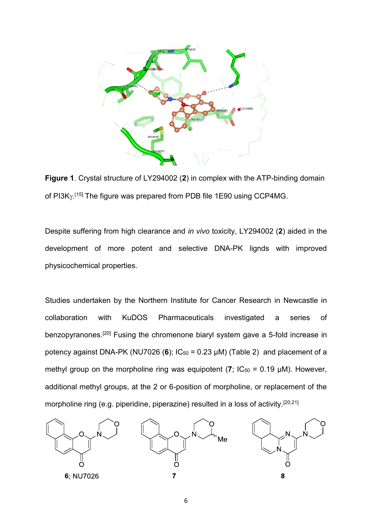

**Figure 1**. Crystal structure of LY294002 (**2**) in complex with the ATP-binding domain of PI3K<sub>Y</sub>.<sup>[15]</sup> The figure was prepared from PDB file 1E90 using CCP4MG.

Despite suffering from high clearance and *in vivo* toxicity, LY294002 (**2**) aided in the development of more potent and selective DNA-PK lignds with improved physicochemical properties.

Studies undertaken by the Northern Institute for Cancer Research in Newcastle in collaboration with KuDOS Pharmaceuticals investigated a series of benzopyranones.<sup>[20]</sup> Fusing the chromenone biaryl system gave a 5-fold increase in potency against DNA-PK (NU7026 (6);  $IC_{50} = 0.23 \mu M$ ) (Table 2) and placement of a methyl group on the morpholine ring was equipotent  $(7; IC_{50} = 0.19 \mu M)$ . However, additional methyl groups, at the 2 or 6-position of morpholine, or replacement of the morpholine ring (e.g. piperidine, piperazine) resulted in a loss of activity.[20,21]

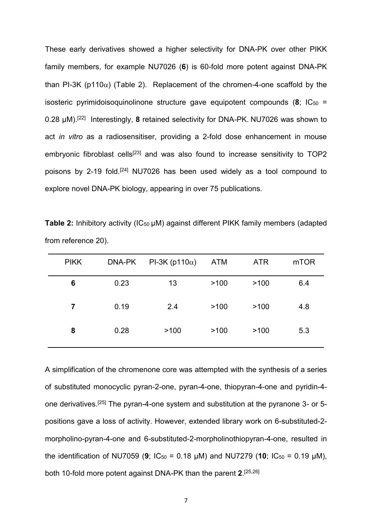These early derivatives showed a higher selectivity for DNA-PK over other PIKK family members, for example NU7026 (**6**) is 60-fold more potent against DNA-PK than PI-3K ( $p110\alpha$ ) (Table 2). Replacement of the chromen-4-one scaffold by the isosteric pyrimidoisoquinolinone structure gave equipotent compounds  $(8; IC_{50} =$ 0.28 µM).[22] Interestingly, **8** retained selectivity for DNA-PK. NU7026 was shown to act *in vitro* as a radiosensitiser, providing a 2-fold dose enhancement in mouse embryonic fibroblast cells<sup>[23]</sup> and was also found to increase sensitivity to TOP2 poisons by 2-19 fold.<sup>[24]</sup> NU7026 has been used widely as a tool compound to explore novel DNA-PK biology, appearing in over 75 publications.

| <b>PIKK</b> | DNA-PK | PI-3K (p110 $\alpha$ ) | ATM  | <b>ATR</b> | m <sub>T</sub> OR |
|-------------|--------|------------------------|------|------------|-------------------|
| 6           | 0.23   | 13                     | >100 | >100       | 6.4               |
| 7           | 0.19   | 2.4                    | >100 | >100       | 4.8               |
| 8           | 0.28   | >100                   | >100 | >100       | 5.3               |

**Table 2:** Inhibitory activity (IC<sub>50</sub> µM) against different PIKK family members (adapted from reference 20).

A simplification of the chromenone core was attempted with the synthesis of a series of substituted monocyclic pyran-2-one, pyran-4-one, thiopyran-4-one and pyridin-4 one derivatives.[25] The pyran-4-one system and substitution at the pyranone 3- or 5 positions gave a loss of activity. However, extended library work on 6-substituted-2 morpholino-pyran-4-one and 6-substituted-2-morpholinothiopyran-4-one, resulted in the identification of NU7059 (**9**;  $IC_{50} = 0.18$  µM) and NU7279 (**10**;  $IC_{50} = 0.19$  µM), both 10-fold more potent against DNA-PK than the parent **2**. [25,26]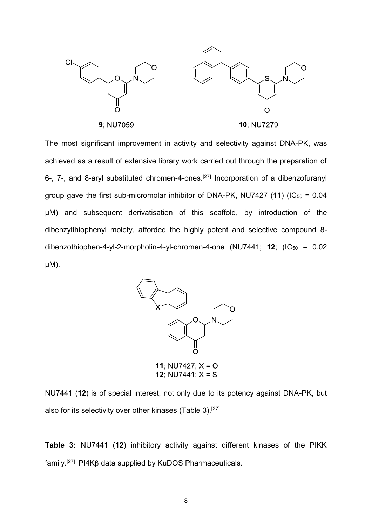

The most significant improvement in activity and selectivity against DNA-PK, was achieved as a result of extensive library work carried out through the preparation of 6-, 7-, and 8-aryl substituted chromen-4-ones.<sup>[27]</sup> Incorporation of a dibenzofuranyl group gave the first sub-micromolar inhibitor of DNA-PK, NU7427  $(11)$  ( $IC_{50} = 0.04$ ) µM) and subsequent derivatisation of this scaffold, by introduction of the dibenzylthiophenyl moiety, afforded the highly potent and selective compound 8 dibenzothiophen-4-yl-2-morpholin-4-yl-chromen-4-one  $(NU7441; 12; (IC<sub>50</sub> = 0.02)$ µM).



12:  $NU7441: X = S$ 

NU7441 (**12**) is of special interest, not only due to its potency against DNA-PK, but also for its selectivity over other kinases (Table 3).<sup>[27]</sup>

**Table 3:** NU7441 (**12**) inhibitory activity against different kinases of the PIKK  $f$ amily.<sup>[27]</sup> PI4K $\beta$  data supplied by KuDOS Pharmaceuticals.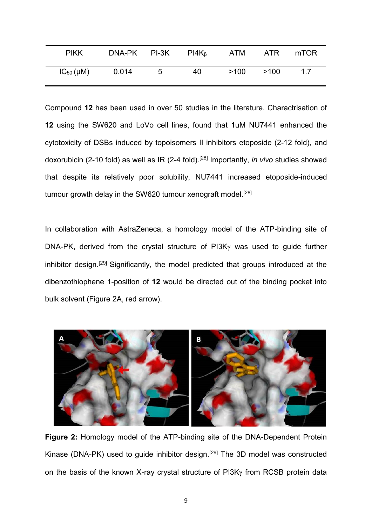| <b>PIKK</b>      | DNA-PK PI-3K |   | $PI4K_{\beta}$ | ATM  | ATR  | mTOR |
|------------------|--------------|---|----------------|------|------|------|
| $IC_{50}(\mu M)$ | 0.014        | 5 | 40             | >100 | >100 | 17   |

Compound **12** has been used in over 50 studies in the literature. Charactrisation of **12** using the SW620 and LoVo cell lines, found that 1uM NU7441 enhanced the cytotoxicity of DSBs induced by topoisomers II inhibitors etoposide (2-12 fold), and doxorubicin (2-10 fold) as well as IR (2-4 fold). [28] Importantly, *in vivo* studies showed that despite its relatively poor solubility, NU7441 increased etoposide-induced tumour growth delay in the SW620 tumour xenograft model.<sup>[28]</sup>

In collaboration with AstraZeneca, a homology model of the ATP-binding site of DNA-PK, derived from the crystal structure of  $PI3K<sub>Y</sub>$  was used to quide further inhibitor design.[29] Significantly, the model predicted that groups introduced at the dibenzothiophene 1-position of **12** would be directed out of the binding pocket into bulk solvent (Figure 2A, red arrow).



**Figure 2:** Homology model of the ATP-binding site of the DNA-Dependent Protein Kinase (DNA-PK) used to guide inhibitor design.<sup>[29]</sup> The 3D model was constructed on the basis of the known X-ray crystal structure of  $PI3K<sub>\gamma</sub>$  from RCSB protein data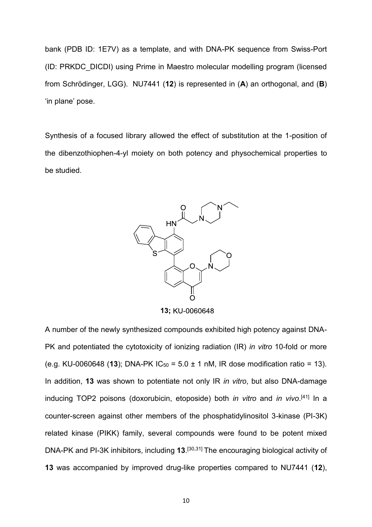bank (PDB ID: 1E7V) as a template, and with DNA-PK sequence from Swiss-Port (ID: PRKDC\_DICDI) using Prime in Maestro molecular modelling program (licensed from Schrödinger, LGG). NU7441 (**12**) is represented in (**A**) an orthogonal, and (**B**) 'in plane' pose.

Synthesis of a focused library allowed the effect of substitution at the 1-position of the dibenzothiophen-4-yl moiety on both potency and physochemical properties to be studied.



13; KU-0060648

A number of the newly synthesized compounds exhibited high potency against DNA-PK and potentiated the cytotoxicity of ionizing radiation (IR) *in vitro* 10-fold or more (e.g. KU-0060648 (13); DNA-PK  $IC_{50} = 5.0 \pm 1$  nM, IR dose modification ratio = 13). In addition, **13** was shown to potentiate not only IR *in vitro*, but also DNA-damage inducing TOP2 poisons (doxorubicin, etoposide) both *in vitro* and *in vivo*. [41] In a counter-screen against other members of the phosphatidylinositol 3-kinase (PI-3K) related kinase (PIKK) family, several compounds were found to be potent mixed DNA-PK and PI-3K inhibitors, including **13**. [30,31] The encouraging biological activity of **13** was accompanied by improved drug-like properties compared to NU7441 (**12**),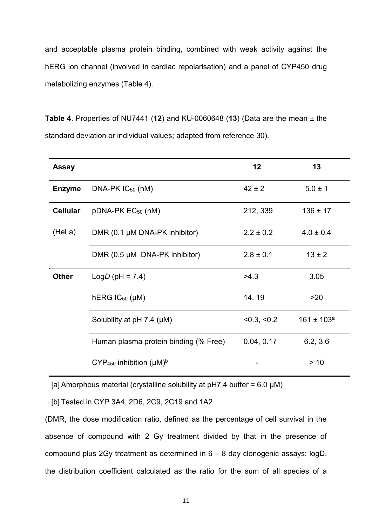and acceptable plasma protein binding, combined with weak activity against the hERG ion channel (involved in cardiac repolarisation) and a panel of CYP450 drug metabolizing enzymes (Table 4).

**Table 4**. Properties of NU7441 (**12**) and KU-0060648 (**13**) (Data are the mean ± the standard deviation or individual values; adapted from reference 30).

| <b>Assay</b>    |                                             | 12            | 13              |
|-----------------|---------------------------------------------|---------------|-----------------|
| <b>Enzyme</b>   | $DNA-PK IC_{50} (nM)$                       | $42 \pm 2$    | $5.0 \pm 1$     |
| <b>Cellular</b> | pDNA-PK EC <sub>50</sub> (nM)               | 212, 339      | $136 \pm 17$    |
| (HeLa)          | DMR (0.1 µM DNA-PK inhibitor)               | $2.2 \pm 0.2$ | $4.0 \pm 0.4$   |
|                 | DMR (0.5 µM DNA-PK inhibitor)               | $2.8 \pm 0.1$ | $13 \pm 2$      |
| <b>Other</b>    | $LogD$ (pH = 7.4)                           | >4.3          | 3.05            |
|                 | $hERG$ $IC_{50}$ ( $\mu$ M)                 | 14, 19        | >20             |
|                 | Solubility at $pH 7.4$ ( $\mu$ M)           | < 0.3, < 0.2  | $161 \pm 103^a$ |
|                 | Human plasma protein binding (% Free)       | 0.04, 0.17    | 6.2, 3.6        |
|                 | $CYP450$ inhibition ( $\mu$ M) <sup>b</sup> |               | > 10            |

[a] Amorphous material (crystalline solubility at pH7.4 buffer =  $6.0 \mu M$ )

[b] Tested in CYP 3A4, 2D6, 2C9, 2C19 and 1A2

(DMR, the dose modification ratio, defined as the percentage of cell survival in the absence of compound with 2 Gy treatment divided by that in the presence of compound plus 2Gy treatment as determined in 6 – 8 day clonogenic assays; logD, the distribution coefficient calculated as the ratio for the sum of all species of a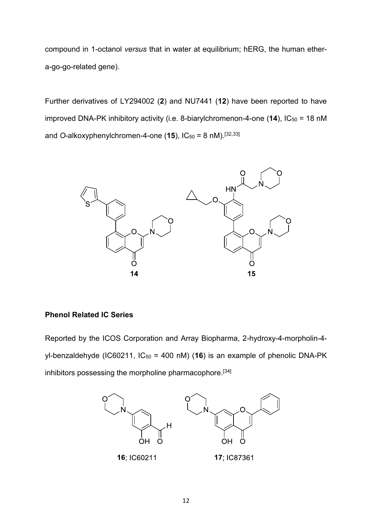compound in 1-octanol *versus* that in water at equilibrium; hERG, the human ethera-go-go-related gene).

Further derivatives of LY294002 (**2**) and NU7441 (**12**) have been reported to have improved DNA-PK inhibitory activity (i.e. 8-biarylchromenon-4-one (14), IC<sub>50</sub> = 18 nM and O-alkoxyphenylchromen-4-one (15), IC<sub>50</sub> = 8 nM).<sup>[32,33]</sup>



# **Phenol Related IC Series**

Reported by the ICOS Corporation and Array Biopharma, 2-hydroxy-4-morpholin-4 yl-benzaldehyde (IC60211, IC<sub>50</sub> = 400 nM) (16) is an example of phenolic DNA-PK inhibitors possessing the morpholine pharmacophore. [34]

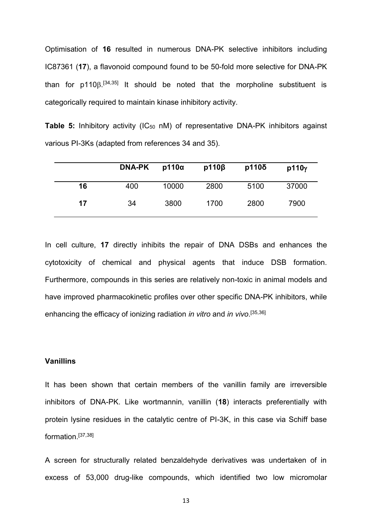Optimisation of **16** resulted in numerous DNA-PK selective inhibitors including IC87361 (**17**), a flavonoid compound found to be 50-fold more selective for DNA-PK than for  $p110\beta$ .<sup>[34,35]</sup> It should be noted that the morpholine substituent is categorically required to maintain kinase inhibitory activity.

**Table 5:** Inhibitory activity (IC<sub>50</sub> nM) of representative DNA-PK inhibitors against various PI-3Ks (adapted from references 34 and 35).

|    | <b>DNA-PK</b> | $p110\alpha$ | $p110\beta$ | $p110\delta$ | p110y |
|----|---------------|--------------|-------------|--------------|-------|
| 16 | 400           | 10000        | 2800        | 5100         | 37000 |
| 17 | 34            | 3800         | 1700        | 2800         | 7900  |

In cell culture, **17** directly inhibits the repair of DNA DSBs and enhances the cytotoxicity of chemical and physical agents that induce DSB formation. Furthermore, compounds in this series are relatively non-toxic in animal models and have improved pharmacokinetic profiles over other specific DNA-PK inhibitors, while enhancing the efficacy of ionizing radiation *in vitro* and *in vivo*. [35,36]

# **Vanillins**

It has been shown that certain members of the vanillin family are irreversible inhibitors of DNA-PK. Like wortmannin, vanillin (**18**) interacts preferentially with protein lysine residues in the catalytic centre of PI-3K, in this case via Schiff base formation.[37,38]

A screen for structurally related benzaldehyde derivatives was undertaken of in excess of 53,000 drug-like compounds, which identified two low micromolar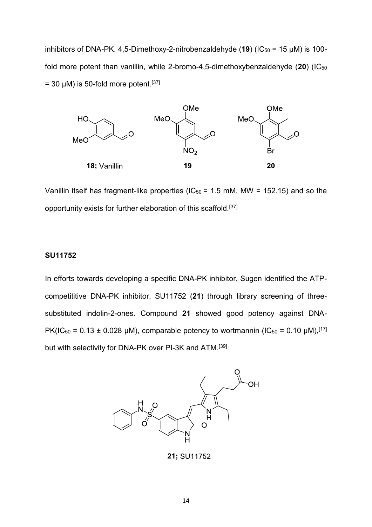inhibitors of DNA-PK. 4,5-Dimethoxy-2-nitrobenzaldehyde  $(19)$  (IC<sub>50</sub> = 15  $\mu$ M) is 100fold more potent than vanillin, while 2-bromo-4,5-dimethoxybenzaldehyde (**20**) (IC<sup>50</sup>  $=$  30  $\mu$ M) is 50-fold more potent.<sup>[37]</sup>



Vanillin itself has fragment-like properties ( $IC_{50}$  = 1.5 mM, MW = 152.15) and so the opportunity exists for further elaboration of this scaffold.[37]

### **SU11752**

In efforts towards developing a specific DNA-PK inhibitor, Sugen identified the ATPcompetititive DNA-PK inhibitor, SU11752 (**21**) through library screening of threesubstituted indolin-2-ones. Compound **21** showed good potency against DNA-PK(IC<sub>50</sub> = 0.13 ± 0.028 µM), comparable potency to wortmannin (IC<sub>50</sub> = 0.10 µM),<sup>[17]</sup> but with selectivity for DNA-PK over PI-3K and ATM.[39]



21; SU11752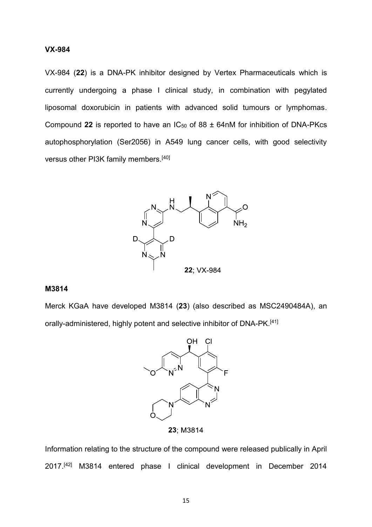### **VX-984**

VX-984 (**22**) is a DNA-PK inhibitor designed by Vertex Pharmaceuticals which is currently undergoing a phase I clinical study, in combination with pegylated liposomal doxorubicin in patients with advanced solid tumours or lymphomas. Compound 22 is reported to have an  $IC_{50}$  of 88  $\pm$  64nM for inhibition of DNA-PKcs autophosphorylation (Ser2056) in A549 lung cancer cells, with good selectivity versus other PI3K family members.[40]



### **M3814**

Merck KGaA have developed M3814 (**23**) (also described as MSC2490484A), an orally-administered, highly potent and selective inhibitor of DNA-PK.<sup>[41]</sup>



23: M3814

Information relating to the structure of the compound were released publically in April 2017. [42] M3814 entered phase I clinical development in December 2014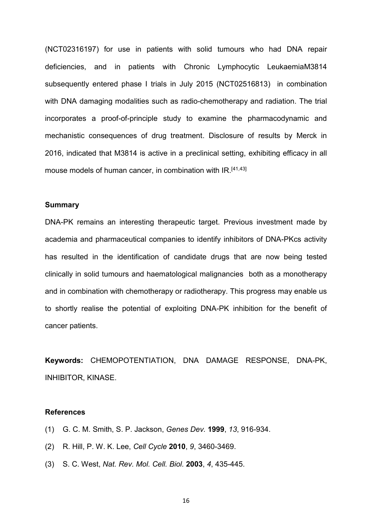(NCT02316197) for use in patients with solid tumours who had DNA repair deficiencies, and in patients with Chronic Lymphocytic LeukaemiaM3814 subsequently entered phase I trials in July 2015 (NCT02516813) in combination with DNA damaging modalities such as radio-chemotherapy and radiation. The trial incorporates a proof-of-principle study to examine the pharmacodynamic and mechanistic consequences of drug treatment. Disclosure of results by Merck in 2016, indicated that M3814 is active in a preclinical setting, exhibiting efficacy in all mouse models of human cancer, in combination with IR.<sup>[41,43]</sup>

#### **Summary**

DNA-PK remains an interesting therapeutic target. Previous investment made by academia and pharmaceutical companies to identify inhibitors of DNA-PKcs activity has resulted in the identification of candidate drugs that are now being tested clinically in solid tumours and haematological malignancies both as a monotherapy and in combination with chemotherapy or radiotherapy. This progress may enable us to shortly realise the potential of exploiting DNA-PK inhibition for the benefit of cancer patients.

**Keywords:** CHEMOPOTENTIATION, DNA DAMAGE RESPONSE, DNA-PK, INHIBITOR, KINASE.

### **References**

- (1) G. C. M. Smith, S. P. Jackson, *Genes Dev.* **1999**, *13*, 916-934.
- (2) R. Hill, P. W. K. Lee, *Cell Cycle* **2010**, *9*, 3460-3469.
- (3) S. C. West, *Nat. Rev. Mol. Cell. Biol.* **2003**, *4*, 435-445.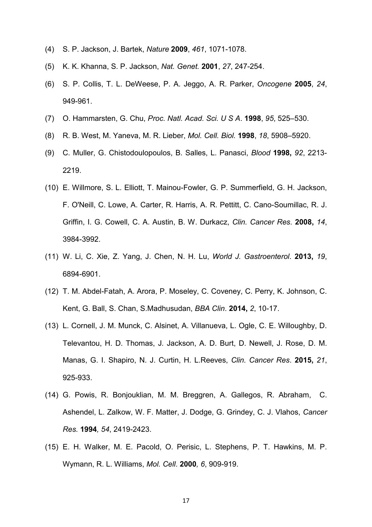- (4) S. P. Jackson, J. Bartek, *Nature* **2009**, *461*, 1071-1078.
- (5) K. K. Khanna, S. P. Jackson, *Nat. Genet.* **2001**, *27*, 247-254.
- (6) S. P. Collis, T. L. DeWeese, P. A. Jeggo, A. R. Parker, *Oncogene* **2005**, *24*, 949-961.
- (7) O. Hammarsten, G. Chu, *Proc. Natl. Acad. Sci. U S A*. **1998**, *95*, 525–530.
- (8) R. B. West, M. Yaneva, M. R. Lieber, *Mol. Cell. Biol.* **1998**, *18*, 5908–5920.
- (9) C. Muller, G. Chistodoulopoulos, B. Salles, L. Panasci, *Blood* **1998,** *92*, 2213- 2219.
- (10) E. Willmore, S. L. Elliott, T. Mainou-Fowler, G. P. Summerfield, G. H. Jackson, F. O'Neill, C. Lowe, A. Carter, R. Harris, A. R. Pettitt, C. Cano-Soumillac, R. J. Griffin, I. G. Cowell, C. A. Austin, B. W. Durkacz, *Clin. Cancer Res*. **2008,** *14*, 3984-3992.
- (11) W. Li, C. Xie, Z. Yang, J. Chen, N. H. Lu, *World J. Gastroenterol*. **2013,** *19*, 6894-6901.
- (12) T. M. Abdel-Fatah, A. Arora, P. Moseley, C. Coveney, C. Perry, K. Johnson, C. Kent, G. Ball, S. Chan, S.Madhusudan, *BBA Clin*. **2014,** *2*, 10-17.
- (13) L. Cornell, J. M. Munck, C. Alsinet, A. Villanueva, L. Ogle, C. E. Willoughby, D. Televantou, H. D. Thomas, J. Jackson, A. D. Burt, D. Newell, J. Rose, D. M. Manas, G. I. Shapiro, N. J. Curtin, H. L.Reeves, *Clin. Cancer Res*. **2015,** *21*, 925-933.
- (14) G. Powis, R. Bonjouklian, M. M. Breggren, A. Gallegos, R. Abraham, C. Ashendel, L. Zalkow, W. F. Matter, J. Dodge, G. Grindey, C. J. Vlahos, *Cancer Res.* **1994***, 54*, 2419-2423.
- (15) E. H. Walker, M. E. Pacold, O. Perisic, L. Stephens, P. T. Hawkins, M. P. Wymann, R. L. Williams, *Mol. Cell*. **2000***, 6*, 909-919.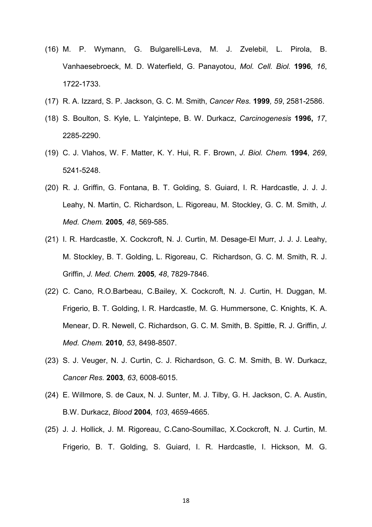- (16) M. P. Wymann, G. Bulgarelli-Leva, M. J. Zvelebil, L. Pirola, B. Vanhaesebroeck, M. D. Waterfield, G. Panayotou, *Mol. Cell. Biol.* **1996***, 16*, 1722-1733.
- (17) R. A. Izzard, S. P. Jackson, G. C. M. Smith, *Cancer Res.* **1999***, 59*, 2581-2586.
- (18) S. Boulton, S. Kyle, L. Yalçintepe, B. W. Durkacz, *Carcinogenesis* **1996,** *17*, 2285-2290.
- (19) C. J. Vlahos, W. F. Matter, K. Y. Hui, R. F. Brown, *J. Biol. Chem.* **1994**, *269*, 5241-5248.
- (20) R. J. Griffin, G. Fontana, B. T. Golding, S. Guiard, I. R. Hardcastle, J. J. J. Leahy, N. Martin, C. Richardson, L. Rigoreau, M. Stockley, G. C. M. Smith, *J. Med. Chem.* **2005***, 48*, 569-585.
- (21) I. R. Hardcastle, X. Cockcroft, N. J. Curtin, M. Desage-El Murr, J. J. J. Leahy, M. Stockley, B. T. Golding, L. Rigoreau, C. Richardson, G. C. M. Smith, R. J. Griffin, *J. Med. Chem.* **2005***, 48*, 7829-7846.
- (22) C. Cano, R.O.Barbeau, C.Bailey, X. Cockcroft, N. J. Curtin, H. Duggan, M. Frigerio, B. T. Golding, I. R. Hardcastle, M. G. Hummersone, C. Knights, K. A. Menear, D. R. Newell, C. Richardson, G. C. M. Smith, B. Spittle, R. J. Griffin, *J. Med. Chem.* **2010***, 53*, 8498-8507.
- (23) S. J. Veuger, N. J. Curtin, C. J. Richardson, G. C. M. Smith, B. W. Durkacz, *Cancer Res.* **2003***, 63*, 6008-6015.
- (24) E. Willmore, S. de Caux, N. J. Sunter, M. J. Tilby, G. H. Jackson, C. A. Austin, B.W. Durkacz, *Blood* **2004***, 103*, 4659-4665.
- (25) J. J. Hollick, J. M. Rigoreau, C.Cano-Soumillac, X.Cockcroft, N. J. Curtin, M. Frigerio, B. T. Golding, S. Guiard, I. R. Hardcastle, I. Hickson, M. G.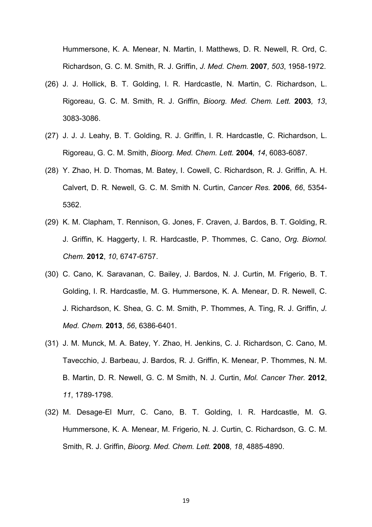Hummersone, K. A. Menear, N. Martin, I. Matthews, D. R. Newell, R. Ord, C. Richardson, G. C. M. Smith, R. J. Griffin, *J. Med. Chem.* **2007***, 503*, 1958-1972.

- (26) J. J. Hollick, B. T. Golding, I. R. Hardcastle, N. Martin, C. Richardson, L. Rigoreau, G. C. M. Smith, R. J. Griffin, *Bioorg. Med. Chem. Lett.* **2003***, 13*, 3083-3086.
- (27) J. J. J. Leahy, B. T. Golding, R. J. Griffin, I. R. Hardcastle, C. Richardson, L. Rigoreau, G. C. M. Smith, *Bioorg. Med. Chem. Lett.* **2004***, 14*, 6083-6087.
- (28) Y. Zhao, H. D. Thomas, M. Batey, I. Cowell, C. Richardson, R. J. Griffin, A. H. Calvert, D. R. Newell, G. C. M. Smith N. Curtin, *Cancer Res.* **2006**, *66*, 5354- 5362.
- (29) K. M. Clapham, T. Rennison, G. Jones, F. Craven, J. Bardos, B. T. Golding, R. J. Griffin, K. Haggerty, I. R. Hardcastle, P. Thommes, C. Cano, *Org. Biomol. Chem*. **2012**, *10*, 6747-6757.
- (30) C. Cano, K. Saravanan, C. Bailey, J. Bardos, N. J. Curtin, M. Frigerio, B. T. Golding, I. R. Hardcastle, M. G. Hummersone, K. A. Menear, D. R. Newell, C. J. Richardson, K. Shea, G. C. M. Smith, P. Thommes, A. Ting, R. J. Griffin, *J. Med. Chem.* **2013**, *56*, 6386-6401.
- (31) J. M. Munck, M. A. Batey, Y. Zhao, H. Jenkins, C. J. Richardson, C. Cano, M. Tavecchio, J. Barbeau, J. Bardos, R. J. Griffin, K. Menear, P. Thommes, N. M. B. Martin, D. R. Newell, G. C. M Smith, N. J. Curtin, *Mol. Cancer Ther.* **2012**, *11*, 1789-1798.
- (32) M. Desage-El Murr, C. Cano, B. T. Golding, I. R. Hardcastle, M. G. Hummersone, K. A. Menear, M. Frigerio, N. J. Curtin, C. Richardson, G. C. M. Smith, R. J. Griffin, *Bioorg. Med. Chem. Lett.* **2008***, 18*, 4885-4890.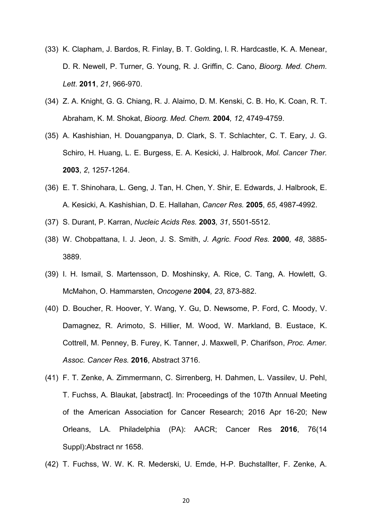- (33) K. Clapham, J. Bardos, R. Finlay, B. T. Golding, I. R. Hardcastle, K. A. Menear, D. R. Newell, P. Turner, G. Young, R. J. Griffin, C. Cano, *Bioorg. Med. Chem*. *Lett*. **2011**, *21*, 966-970.
- (34) Z. A. Knight, G. G. Chiang, R. J. Alaimo, D. M. Kenski, C. B. Ho, K. Coan, R. T. Abraham, K. M. Shokat, *Bioorg. Med. Chem.* **2004***, 12*, 4749-4759.
- (35) A. Kashishian, H. Douangpanya, D. Clark, S. T. Schlachter, C. T. Eary, J. G. Schiro, H. Huang, L. E. Burgess, E. A. Kesicki, J. Halbrook, *Mol. Cancer Ther.*  **2003**, *2*, 1257-1264.
- (36) E. T. Shinohara, L. Geng, J. Tan, H. Chen, Y. Shir, E. Edwards, J. Halbrook, E. A. Kesicki, A. Kashishian, D. E. Hallahan, *Cancer Res.* **2005**, *65*, 4987-4992.
- (37) S. Durant, P. Karran, *Nucleic Acids Res.* **2003***, 31*, 5501-5512.
- (38) W. Chobpattana, I. J. Jeon, J. S. Smith, *J. Agric. Food Res.* **2000***, 48*, 3885- 3889.
- (39) I. H. Ismail, S. Martensson, D. Moshinsky, A. Rice, C. Tang, A. Howlett, G. McMahon, O. Hammarsten, *Oncogene* **2004***, 23*, 873-882.
- (40) D. Boucher, R. Hoover, Y. Wang, Y. Gu, D. Newsome, P. Ford, C. Moody, V. Damagnez, R. Arimoto, S. Hillier, M. Wood, W. Markland, B. Eustace, K. Cottrell, M. Penney, B. Furey, K. Tanner, J. Maxwell, P. Charifson, *Proc. Amer. Assoc. Cancer Res.* **2016**, Abstract 3716.
- (41) F. T. Zenke, A. Zimmermann, C. Sirrenberg, H. Dahmen, L. Vassilev, U. Pehl, T. Fuchss, A. Blaukat, [abstract]. In: Proceedings of the 107th Annual Meeting of the American Association for Cancer Research; 2016 Apr 16-20; New Orleans, LA. Philadelphia (PA): AACR; Cancer Res **2016**, 76(14 Suppl):Abstract nr 1658.
- (42) T. Fuchss, W. W. K. R. Mederski, U. Emde, H-P. Buchstallter, F. Zenke, A.